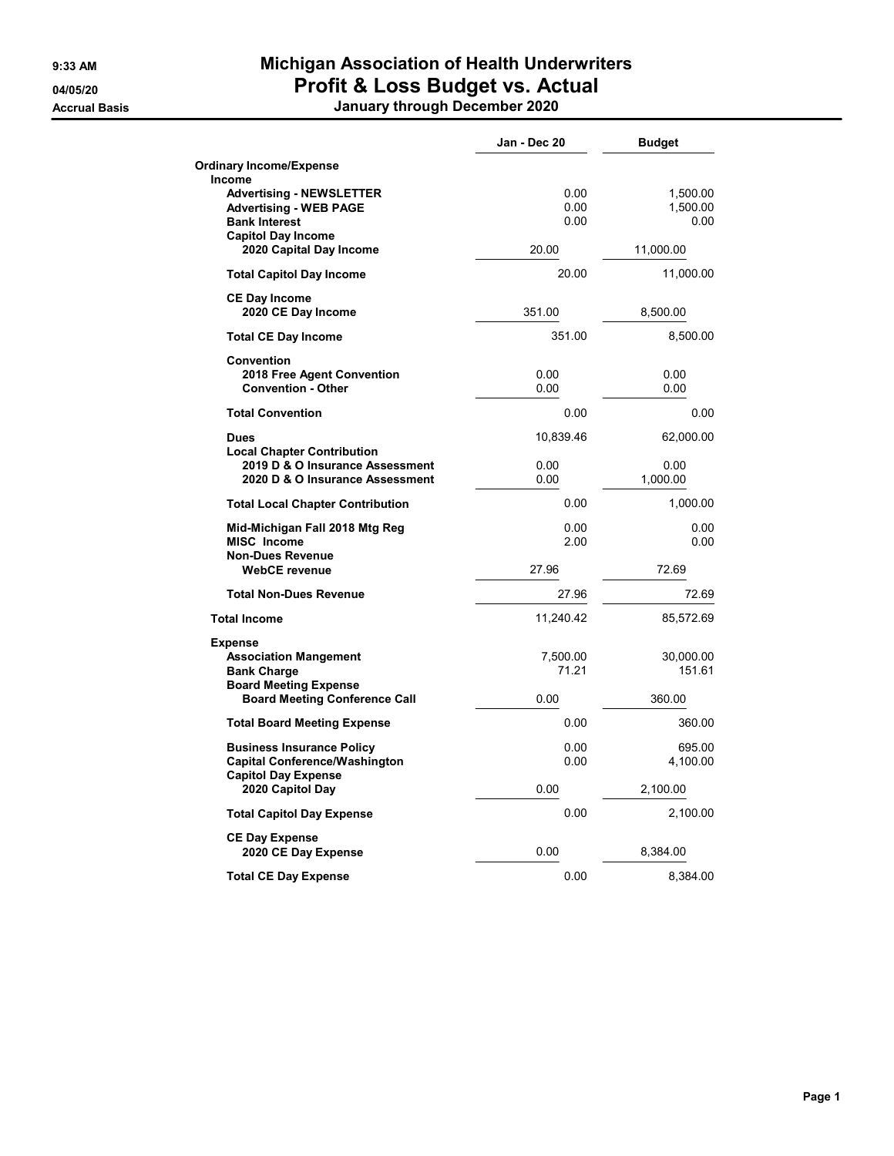## 9:33 AM Michigan Association of Health Underwriters 04/05/20 **Profit & Loss Budget vs. Actual**

Accrual Basis January through December 2020

|                                                                                                                                 | Jan - Dec 20         | <b>Budget</b>                |
|---------------------------------------------------------------------------------------------------------------------------------|----------------------|------------------------------|
| <b>Ordinary Income/Expense</b>                                                                                                  |                      |                              |
| Income<br><b>Advertising - NEWSLETTER</b><br><b>Advertising - WEB PAGE</b><br><b>Bank Interest</b><br><b>Capitol Day Income</b> | 0.00<br>0.00<br>0.00 | 1,500.00<br>1,500.00<br>0.00 |
| 2020 Capital Day Income                                                                                                         | 20.00                | 11,000.00                    |
| <b>Total Capitol Day Income</b>                                                                                                 | 20.00                | 11,000.00                    |
| <b>CE Day Income</b><br>2020 CE Day Income                                                                                      | 351.00               | 8,500.00                     |
| <b>Total CE Day Income</b>                                                                                                      | 351.00               | 8,500.00                     |
| <b>Convention</b><br>2018 Free Agent Convention<br><b>Convention - Other</b>                                                    | 0.00<br>0.00         | 0.00<br>0.00                 |
| <b>Total Convention</b>                                                                                                         | 0.00                 | 0.00                         |
| <b>Dues</b>                                                                                                                     | 10,839.46            | 62,000.00                    |
| <b>Local Chapter Contribution</b><br>2019 D & O Insurance Assessment<br>2020 D & O Insurance Assessment                         | 0.00<br>0.00         | 0.00<br>1,000.00             |
| <b>Total Local Chapter Contribution</b>                                                                                         | 0.00                 | 1,000.00                     |
| Mid-Michigan Fall 2018 Mtg Reg<br><b>MISC Income</b><br><b>Non-Dues Revenue</b>                                                 | 0.00<br>2.00         | 0.00<br>0.00                 |
| <b>WebCE revenue</b>                                                                                                            | 27.96                | 72.69                        |
| <b>Total Non-Dues Revenue</b>                                                                                                   | 27.96                | 72.69                        |
| <b>Total Income</b>                                                                                                             | 11,240.42            | 85,572.69                    |
| <b>Expense</b><br><b>Association Mangement</b><br><b>Bank Charge</b><br><b>Board Meeting Expense</b>                            | 7,500.00<br>71.21    | 30,000.00<br>151.61          |
| <b>Board Meeting Conference Call</b>                                                                                            | 0.00                 | 360.00                       |
| <b>Total Board Meeting Expense</b>                                                                                              | 0.00                 | 360.00                       |
| <b>Business Insurance Policy</b><br><b>Capital Conference/Washington</b><br><b>Capitol Day Expense</b>                          | 0.00<br>0.00         | 695.00<br>4,100.00           |
| 2020 Capitol Day                                                                                                                | 0.00                 | 2,100.00                     |
| <b>Total Capitol Day Expense</b>                                                                                                | 0.00                 | 2,100.00                     |
| <b>CE Day Expense</b><br>2020 CE Day Expense                                                                                    | 0.00                 | 8,384.00                     |
| <b>Total CE Day Expense</b>                                                                                                     | 0.00                 | 8,384.00                     |